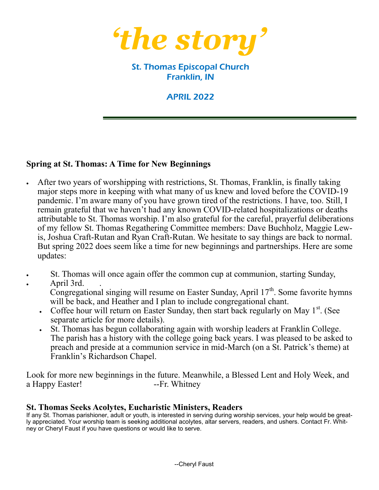

# St. Thomas Episcopal Church Franklin, IN

# APRIL 2022

#### **Spring at St. Thomas: A Time for New Beginnings**

- After two years of worshipping with restrictions, St. Thomas, Franklin, is finally taking major steps more in keeping with what many of us knew and loved before the COVID-19 pandemic. I'm aware many of you have grown tired of the restrictions. I have, too. Still, I remain grateful that we haven't had any known COVID-related hospitalizations or deaths attributable to St. Thomas worship. I'm also grateful for the careful, prayerful deliberations of my fellow St. Thomas Regathering Committee members: Dave Buchholz, Maggie Lewis, Joshua Craft-Rutan and Ryan Craft-Rutan. We hesitate to say things are back to normal. But spring 2022 does seem like a time for new beginnings and partnerships. Here are some updates:
- St. Thomas will once again offer the common cup at communion, starting Sunday,
- April 3rd. .

Congregational singing will resume on Easter Sunday, April  $17<sup>th</sup>$ . Some favorite hymns will be back, and Heather and I plan to include congregational chant.

- Coffee hour will return on Easter Sunday, then start back regularly on May  $1<sup>st</sup>$ . (See separate article for more details).
- St. Thomas has begun collaborating again with worship leaders at Franklin College. The parish has a history with the college going back years. I was pleased to be asked to preach and preside at a communion service in mid-March (on a St. Patrick's theme) at Franklin's Richardson Chapel.

Look for more new beginnings in the future. Meanwhile, a Blessed Lent and Holy Week, and a Happy Easter! --Fr. Whitney

#### **St. Thomas Seeks Acolytes, Eucharistic Ministers, Readers**

If any St. Thomas parishioner, adult or youth, is interested in serving during worship services, your help would be greatly appreciated. Your worship team is seeking additional acolytes, altar servers, readers, and ushers. Contact Fr. Whitney or Cheryl Faust if you have questions or would like to serve.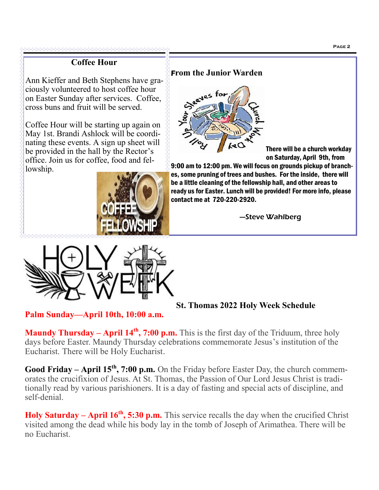# **Coffee Hour**

Ann Kieffer and Beth Stephens have graciously volunteered to host coffee hour on Easter Sunday after services. Coffee, cross buns and fruit will be served.

Coffee Hour will be starting up again on May 1st. Brandi Ashlock will be coordinating these events. A sign up sheet will be provided in the hall by the Rector's office. Join us for coffee, food and fellowship.





## F**rom the Junior Warden**



There will be a church workday on Saturday, April 9th, from

9:00 am to 12:00 pm. We will focus on grounds pickup of branches, some pruning of trees and bushes. For the inside, there will be a little cleaning of the fellowship hall, and other areas to ready us for Easter. Lunch will be provided! For more info, please contact me at 720-220-2920.

—Steve Wahlberg

**St. Thomas 2022 Holy Week Schedule**

**Palm Sunday—April 10th, 10:00 a.m.**

**Maundy Thursday – April 14<sup>th</sup>, 7:00 p.m.** This is the first day of the Triduum, three holy days before Easter. Maundy Thursday celebrations commemorate Jesus's institution of the Eucharist. There will be Holy Eucharist.

**Good Friday – April 15th, 7:00 p.m.** On the Friday before Easter Day, the church commemorates the crucifixion of Jesus. At St. Thomas, the Passion of Our Lord Jesus Christ is traditionally read by various parishioners. It is a day of fasting and special acts of discipline, and self-denial.

**Holy Saturday – April 16th, 5:30 p.m.** This service recalls the day when the crucified Christ visited among the dead while his body lay in the tomb of Joseph of Arimathea. There will be no Eucharist.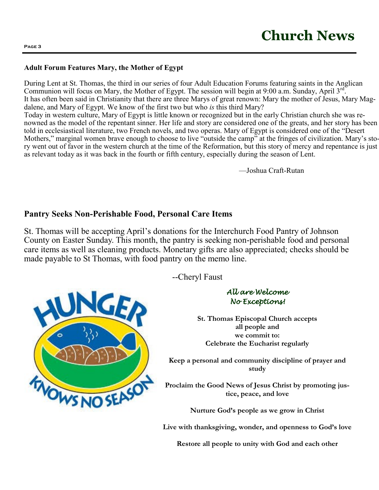#### **Adult Forum Features Mary, the Mother of Egypt**

During Lent at St. Thomas, the third in our series of four Adult Education Forums featuring saints in the Anglican Communion will focus on Mary, the Mother of Egypt. The session will begin at 9:00 a.m. Sunday, April 3rd. It has often been said in Christianity that there are three Marys of great renown: Mary the mother of Jesus, Mary Magdalene, and Mary of Egypt. We know of the first two but who *is* this third Mary? Today in western culture, Mary of Egypt is little known or recognized but in the early Christian church she was renowned as the model of the repentant sinner. Her life and story are considered one of the greats, and her story has been told in ecclesiastical literature, two French novels, and two operas. Mary of Egypt is considered one of the "Desert Mothers," marginal women brave enough to choose to live "outside the camp" at the fringes of civilization. Mary's story went out of favor in the western church at the time of the Reformation, but this story of mercy and repentance is just as relevant today as it was back in the fourth or fifth century, especially during the season of Lent.

—Joshua Craft-Rutan

### **Pantry Seeks Non-Perishable Food, Personal Care Items**

St. Thomas will be accepting April's donations for the Interchurch Food Pantry of Johnson County on Easter Sunday. This month, the pantry is seeking non-perishable food and personal care items as well as cleaning products. Monetary gifts are also appreciated; checks should be made payable to St Thomas, with food pantry on the memo line.



--Cheryl Faust

#### *All are Welcome No Exceptions!*

**St. Thomas Episcopal Church accepts all people and we commit to: Celebrate the Eucharist regularly**

**Keep a personal and community discipline of prayer and study**

**Proclaim the Good News of Jesus Christ by promoting justice, peace, and love**

**Nurture God's people as we grow in Christ**

**Live with thanksgiving, wonder, and openness to God's love**

**Restore all people to unity with God and each other**